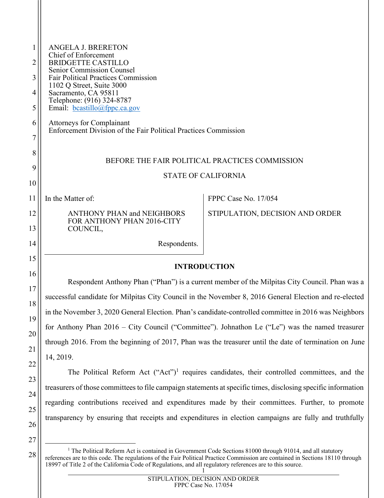| 1<br>2   | <b>ANGELA J. BRERETON</b><br>Chief of Enforcement<br><b>BRIDGETTE CASTILLO</b>                                                                                                                                                                                                                                              |                                                                                                        |  |
|----------|-----------------------------------------------------------------------------------------------------------------------------------------------------------------------------------------------------------------------------------------------------------------------------------------------------------------------------|--------------------------------------------------------------------------------------------------------|--|
| 3        | <b>Senior Commission Counsel</b><br><b>Fair Political Practices Commission</b><br>1102 Q Street, Suite 3000                                                                                                                                                                                                                 |                                                                                                        |  |
| 4        | Sacramento, CA 95811<br>Telephone: (916) 324-8787                                                                                                                                                                                                                                                                           |                                                                                                        |  |
| 5        | Email: $bcastillo@fppc.ca.gov$                                                                                                                                                                                                                                                                                              |                                                                                                        |  |
| 6<br>7   | Attorneys for Complainant<br>Enforcement Division of the Fair Political Practices Commission                                                                                                                                                                                                                                |                                                                                                        |  |
| 8        | BEFORE THE FAIR POLITICAL PRACTICES COMMISSION                                                                                                                                                                                                                                                                              |                                                                                                        |  |
| 9        | <b>STATE OF CALIFORNIA</b>                                                                                                                                                                                                                                                                                                  |                                                                                                        |  |
| 10       |                                                                                                                                                                                                                                                                                                                             |                                                                                                        |  |
| 11       | In the Matter of:                                                                                                                                                                                                                                                                                                           | FPPC Case No. 17/054                                                                                   |  |
| 12<br>13 | <b>ANTHONY PHAN and NEIGHBORS</b><br>FOR ANTHONY PHAN 2016-CITY<br>COUNCIL,                                                                                                                                                                                                                                                 | STIPULATION, DECISION AND ORDER                                                                        |  |
| 14       | Respondents.                                                                                                                                                                                                                                                                                                                |                                                                                                        |  |
| 15       | <b>INTRODUCTION</b>                                                                                                                                                                                                                                                                                                         |                                                                                                        |  |
| 16       | Respondent Anthony Phan ("Phan") is a current member of the Milpitas City Council. Phan was a                                                                                                                                                                                                                               |                                                                                                        |  |
| 17<br>18 | successful candidate for Milpitas City Council in the November 8, 2016 General Election and re-elected<br>in the November 3, 2020 General Election. Phan's candidate-controlled committee in 2016 was Neighbors<br>for Anthony Phan 2016 - City Council ("Committee"). Johnathon Le ("Le") was the named treasurer          |                                                                                                        |  |
| 19       |                                                                                                                                                                                                                                                                                                                             |                                                                                                        |  |
| 20       |                                                                                                                                                                                                                                                                                                                             |                                                                                                        |  |
| 21       | through 2016. From the beginning of 2017, Phan was the treasurer until the date of termination on June                                                                                                                                                                                                                      |                                                                                                        |  |
| 22       | 14, 2019.                                                                                                                                                                                                                                                                                                                   |                                                                                                        |  |
| 23       | The Political Reform Act ("Act") <sup>1</sup> requires candidates, their controlled committees, and the<br>treasurers of those committees to file campaign statements at specific times, disclosing specific information<br>regarding contributions received and expenditures made by their committees. Further, to promote |                                                                                                        |  |
| 24       |                                                                                                                                                                                                                                                                                                                             |                                                                                                        |  |
| 25       |                                                                                                                                                                                                                                                                                                                             |                                                                                                        |  |
|          |                                                                                                                                                                                                                                                                                                                             | transparency by ensuring that receipts and expenditures in election campaigns are fully and truthfully |  |

26

27

<span id="page-0-0"></span><sup>1</sup> <sup>1</sup> The Political Reform Act is contained in Government Code Sections 81000 through 91014, and all statutory references are to this code. The regulations of the Fair Political Practice Commission are contained in Sections 18110 through 18997 of Title 2 of the California Code of Regulations, and all regulatory references are to this source.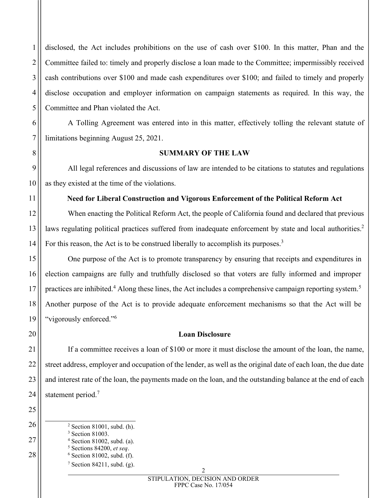disclosed, the Act includes prohibitions on the use of cash over \$100. In this matter, Phan and the Committee failed to: timely and properly disclose a loan made to the Committee; impermissibly received cash contributions over \$100 and made cash expenditures over \$100; and failed to timely and properly disclose occupation and employer information on campaign statements as required. In this way, the Committee and Phan violated the Act.

A Tolling Agreement was entered into in this matter, effectively tolling the relevant statute of limitations beginning August 25, 2021.

#### **SUMMARY OF THE LAW**

All legal references and discussions of law are intended to be citations to statutes and regulations as they existed at the time of the violations.

## **Need for Liberal Construction and Vigorous Enforcement of the Political Reform Act**

When enacting the Political Reform Act, the people of California found and declared that previous laws regulating political practices suffered from inadequate enforcement by state and local authorities.<sup>[2](#page-1-0)</sup> For this reason, the Act is to be construed liberally to accomplish its purposes.<sup>[3](#page-1-1)</sup>

One purpose of the Act is to promote transparency by ensuring that receipts and expenditures in election campaigns are fully and truthfully disclosed so that voters are fully informed and improper practices are inhibited.<sup>[4](#page-1-2)</sup> Along these lines, the Act includes a comprehensive campaign reporting system.<sup>[5](#page-1-3)</sup> Another purpose of the Act is to provide adequate enforcement mechanisms so that the Act will be "vigorously enforced."[6](#page-1-4)

## **Loan Disclosure**

If a committee receives a loan of \$100 or more it must disclose the amount of the loan, the name, street address, employer and occupation of the lender, as well as the original date of each loan, the due date and interest rate of the loan, the payments made on the loan, and the outstanding balance at the end of each statement period.<sup>[7](#page-1-5)</sup>

<span id="page-1-5"></span><span id="page-1-4"></span><span id="page-1-3"></span><span id="page-1-2"></span><span id="page-1-1"></span><span id="page-1-0"></span> Section 81001, subd. (h). Section 81003. Section 81002, subd. (a). Sections 84200, *et seq*. Section 81002, subd. (f). Section 84211, subd. (g).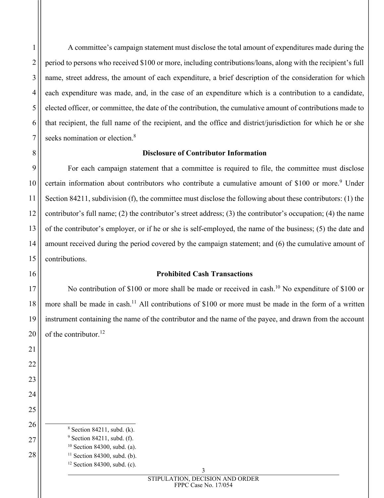A committee's campaign statement must disclose the total amount of expenditures made during the period to persons who received \$100 or more, including contributions/loans, along with the recipient's full name, street address, the amount of each expenditure, a brief description of the consideration for which each expenditure was made, and, in the case of an expenditure which is a contribution to a candidate, elected officer, or committee, the date of the contribution, the cumulative amount of contributions made to that recipient, the full name of the recipient, and the office and district/jurisdiction for which he or she seeks nomination or election.<sup>[8](#page-2-0)</sup>

# **Disclosure of Contributor Information**

For each campaign statement that a committee is required to file, the committee must disclose certain information about contributors who contribute a cumulative amount of \$100 or more.<sup>[9](#page-2-1)</sup> Under Section 84211, subdivision (f), the committee must disclose the following about these contributors: (1) the contributor's full name; (2) the contributor's street address; (3) the contributor's occupation; (4) the name of the contributor's employer, or if he or she is self-employed, the name of the business; (5) the date and amount received during the period covered by the campaign statement; and (6) the cumulative amount of contributions.

# **Prohibited Cash Transactions**

No contribution of \$[10](#page-2-2)0 or more shall be made or received in cash.<sup>10</sup> No expenditure of \$100 or more shall be made in cash.<sup>[11](#page-2-3)</sup> All contributions of \$100 or more must be made in the form of a written instrument containing the name of the contributor and the name of the payee, and drawn from the account of the contributor.<sup>[12](#page-2-4)</sup>

- Section 84211, subd. (k).
- <span id="page-2-4"></span><span id="page-2-3"></span><span id="page-2-2"></span><span id="page-2-1"></span><span id="page-2-0"></span> Section 84211, subd. (f).
	- Section 84300, subd. (a).
	- Section 84300, subd. (b).
	- Section 84300, subd. (c).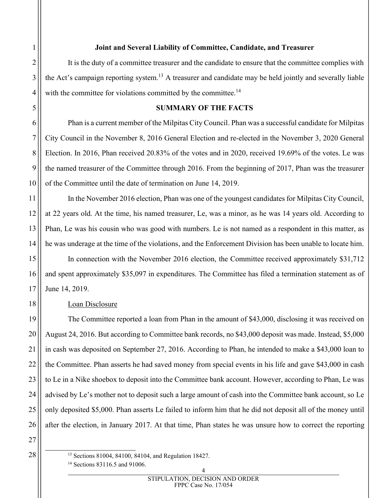## **Joint and Several Liability of Committee, Candidate, and Treasurer**

It is the duty of a committee treasurer and the candidate to ensure that the committee complies with the Act's campaign reporting system.<sup>[13](#page-3-0)</sup> A treasurer and candidate may be held jointly and severally liable with the committee for violations committed by the committee.<sup>[14](#page-3-1)</sup>

## **SUMMARY OF THE FACTS**

Phan is a current member of the Milpitas City Council. Phan was a successful candidate for Milpitas City Council in the November 8, 2016 General Election and re-elected in the November 3, 2020 General Election. In 2016, Phan received 20.83% of the votes and in 2020, received 19.69% of the votes. Le was the named treasurer of the Committee through 2016. From the beginning of 2017, Phan was the treasurer of the Committee until the date of termination on June 14, 2019.

In the November 2016 election, Phan was one of the youngest candidates for Milpitas City Council, at 22 years old. At the time, his named treasurer, Le, was a minor, as he was 14 years old. According to Phan, Le was his cousin who was good with numbers. Le is not named as a respondent in this matter, as he was underage at the time of the violations, and the Enforcement Division has been unable to locate him.

In connection with the November 2016 election, the Committee received approximately \$31,712 and spent approximately \$35,097 in expenditures. The Committee has filed a termination statement as of June 14, 2019.

# Loan Disclosure

The Committee reported a loan from Phan in the amount of \$43,000, disclosing it was received on August 24, 2016. But according to Committee bank records, no \$43,000 deposit was made. Instead, \$5,000 in cash was deposited on September 27, 2016. According to Phan, he intended to make a \$43,000 loan to the Committee. Phan asserts he had saved money from special events in his life and gave \$43,000 in cash to Le in a Nike shoebox to deposit into the Committee bank account. However, according to Phan, Le was advised by Le's mother not to deposit such a large amount of cash into the Committee bank account, so Le only deposited \$5,000. Phan asserts Le failed to inform him that he did not deposit all of the money until after the election, in January 2017. At that time, Phan states he was unsure how to correct the reporting

<span id="page-3-1"></span><sup>14</sup> Sections 83116.5 and 91006.

<span id="page-3-0"></span><sup>13</sup> Sections 81004, 84100, 84104, and Regulation 18427.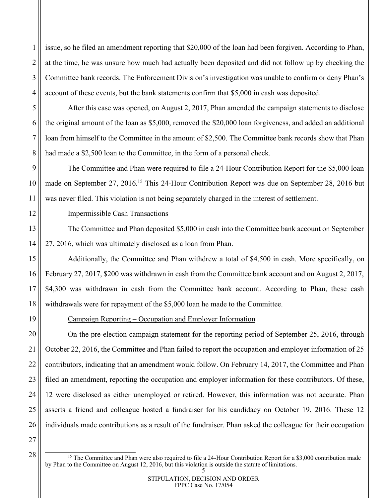issue, so he filed an amendment reporting that \$20,000 of the loan had been forgiven. According to Phan, at the time, he was unsure how much had actually been deposited and did not follow up by checking the Committee bank records. The Enforcement Division's investigation was unable to confirm or deny Phan's account of these events, but the bank statements confirm that \$5,000 in cash was deposited.

After this case was opened, on August 2, 2017, Phan amended the campaign statements to disclose the original amount of the loan as \$5,000, removed the \$20,000 loan forgiveness, and added an additional loan from himself to the Committee in the amount of \$2,500. The Committee bank records show that Phan had made a \$2,500 loan to the Committee, in the form of a personal check.

The Committee and Phan were required to file a 24-Hour Contribution Report for the \$5,000 loan made on September 27, 2016.<sup>[15](#page-4-0)</sup> This 24-Hour Contribution Report was due on September 28, 2016 but was never filed. This violation is not being separately charged in the interest of settlement.

# Impermissible Cash Transactions

The Committee and Phan deposited \$5,000 in cash into the Committee bank account on September 27, 2016, which was ultimately disclosed as a loan from Phan.

Additionally, the Committee and Phan withdrew a total of \$4,500 in cash. More specifically, on February 27, 2017, \$200 was withdrawn in cash from the Committee bank account and on August 2, 2017, \$4,300 was withdrawn in cash from the Committee bank account. According to Phan, these cash withdrawals were for repayment of the \$5,000 loan he made to the Committee.

Campaign Reporting – Occupation and Employer Information

On the pre-election campaign statement for the reporting period of September 25, 2016, through October 22, 2016, the Committee and Phan failed to report the occupation and employer information of 25 contributors, indicating that an amendment would follow. On February 14, 2017, the Committee and Phan filed an amendment, reporting the occupation and employer information for these contributors. Of these, 12 were disclosed as either unemployed or retired. However, this information was not accurate. Phan asserts a friend and colleague hosted a fundraiser for his candidacy on October 19, 2016. These 12 individuals made contributions as a result of the fundraiser. Phan asked the colleague for their occupation

27 28

1

2

3

4

5

6

7

8

9

10

11

12

13

14

15

16

17

18

19

20

21

22

23

24

25

<span id="page-4-0"></span><sup>5</sup> <sup>15</sup> The Committee and Phan were also required to file a 24-Hour Contribution Report for a \$3,000 contribution made by Phan to the Committee on August 12, 2016, but this violation is outside the statute of limitations.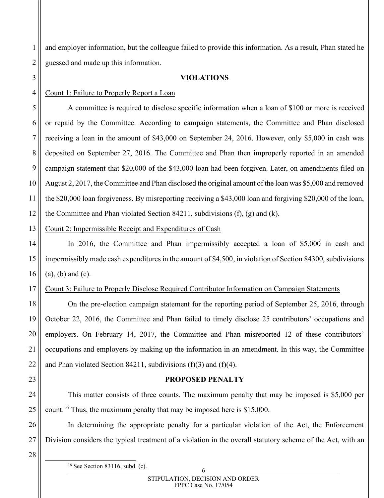2 and employer information, but the colleague failed to provide this information. As a result, Phan stated he guessed and made up this information.

#### **VIOLATIONS**

#### 4 Count 1: Failure to Properly Report a Loan

1

3

5

6

7

8

9

10

11

12

14

15

16

18

19

20

21

22

23

24

25

26

27

A committee is required to disclose specific information when a loan of \$100 or more is received or repaid by the Committee. According to campaign statements, the Committee and Phan disclosed receiving a loan in the amount of \$43,000 on September 24, 2016. However, only \$5,000 in cash was deposited on September 27, 2016. The Committee and Phan then improperly reported in an amended campaign statement that \$20,000 of the \$43,000 loan had been forgiven. Later, on amendments filed on August 2, 2017, the Committee and Phan disclosed the original amount of the loan was \$5,000 and removed the \$20,000 loan forgiveness. By misreporting receiving a \$43,000 loan and forgiving \$20,000 of the loan, the Committee and Phan violated Section 84211, subdivisions (f), (g) and (k).

13 Count 2: Impermissible Receipt and Expenditures of Cash

In 2016, the Committee and Phan impermissibly accepted a loan of \$5,000 in cash and impermissibly made cash expenditures in the amount of \$4,500, in violation of Section 84300, subdivisions (a), (b) and (c).

17 Count 3: Failure to Properly Disclose Required Contributor Information on Campaign Statements

On the pre-election campaign statement for the reporting period of September 25, 2016, through October 22, 2016, the Committee and Phan failed to timely disclose 25 contributors' occupations and employers. On February 14, 2017, the Committee and Phan misreported 12 of these contributors' occupations and employers by making up the information in an amendment. In this way, the Committee and Phan violated Section 84211, subdivisions (f)(3) and (f)(4).

#### **PROPOSED PENALTY**

This matter consists of three counts. The maximum penalty that may be imposed is \$5,000 per count.<sup>[16](#page-5-0)</sup> Thus, the maximum penalty that may be imposed here is \$15,000.

In determining the appropriate penalty for a particular violation of the Act, the Enforcement Division considers the typical treatment of a violation in the overall statutory scheme of the Act, with an

28

<span id="page-5-0"></span> $16$  See Section 83116, subd. (c).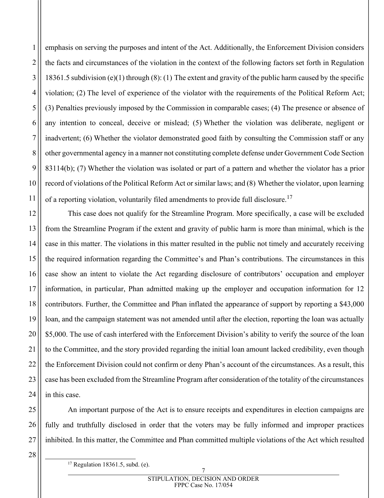emphasis on serving the purposes and intent of the Act. Additionally, the Enforcement Division considers the facts and circumstances of the violation in the context of the following factors set forth in Regulation 18361.5 subdivision (e)(1) through (8): (1) The extent and gravity of the public harm caused by the specific violation; (2) The level of experience of the violator with the requirements of the Political Reform Act; (3) Penalties previously imposed by the Commission in comparable cases; (4) The presence or absence of any intention to conceal, deceive or mislead; (5) Whether the violation was deliberate, negligent or inadvertent; (6) Whether the violator demonstrated good faith by consulting the Commission staff or any other governmental agency in a manner not constituting complete defense under Government Code Section 83114(b); (7) Whether the violation was isolated or part of a pattern and whether the violator has a prior record of violations of the Political Reform Act or similar laws; and (8) Whether the violator, upon learning of a reporting violation, voluntarily filed amendments to provide full disclosure.[17](#page-6-0)

This case does not qualify for the Streamline Program. More specifically, a case will be excluded from the Streamline Program if the extent and gravity of public harm is more than minimal, which is the case in this matter. The violations in this matter resulted in the public not timely and accurately receiving the required information regarding the Committee's and Phan's contributions. The circumstances in this case show an intent to violate the Act regarding disclosure of contributors' occupation and employer information, in particular, Phan admitted making up the employer and occupation information for 12 contributors. Further, the Committee and Phan inflated the appearance of support by reporting a \$43,000 loan, and the campaign statement was not amended until after the election, reporting the loan was actually \$5,000. The use of cash interfered with the Enforcement Division's ability to verify the source of the loan to the Committee, and the story provided regarding the initial loan amount lacked credibility, even though the Enforcement Division could not confirm or deny Phan's account of the circumstances. As a result, this case has been excluded from the Streamline Program after consideration of the totality of the circumstances in this case.

An important purpose of the Act is to ensure receipts and expenditures in election campaigns are fully and truthfully disclosed in order that the voters may be fully informed and improper practices inhibited. In this matter, the Committee and Phan committed multiple violations of the Act which resulted

<span id="page-6-0"></span> $17$  Regulation 18361.5, subd. (e).

1

2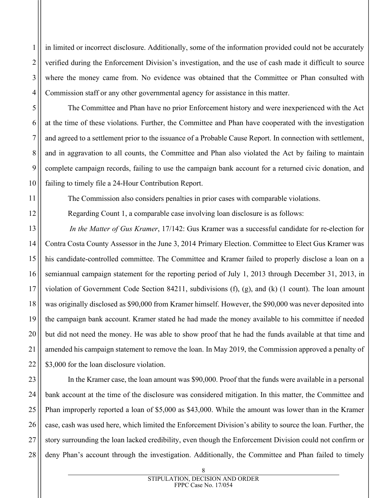in limited or incorrect disclosure. Additionally, some of the information provided could not be accurately verified during the Enforcement Division's investigation, and the use of cash made it difficult to source where the money came from. No evidence was obtained that the Committee or Phan consulted with Commission staff or any other governmental agency for assistance in this matter.

1

2

3

4

5

6

7

8

9

10

11

12

13

14

15

16

17

18

19

20

21

22

The Committee and Phan have no prior Enforcement history and were inexperienced with the Act at the time of these violations. Further, the Committee and Phan have cooperated with the investigation and agreed to a settlement prior to the issuance of a Probable Cause Report. In connection with settlement, and in aggravation to all counts, the Committee and Phan also violated the Act by failing to maintain complete campaign records, failing to use the campaign bank account for a returned civic donation, and failing to timely file a 24-Hour Contribution Report.

The Commission also considers penalties in prior cases with comparable violations.

Regarding Count 1, a comparable case involving loan disclosure is as follows:

 *In the Matter of Gus Kramer*, 17/142: Gus Kramer was a successful candidate for re-election for Contra Costa County Assessor in the June 3, 2014 Primary Election. Committee to Elect Gus Kramer was his candidate-controlled committee. The Committee and Kramer failed to properly disclose a loan on a semiannual campaign statement for the reporting period of July 1, 2013 through December 31, 2013, in violation of Government Code Section 84211, subdivisions (f), (g), and (k) (1 count). The loan amount was originally disclosed as \$90,000 from Kramer himself. However, the \$90,000 was never deposited into the campaign bank account. Kramer stated he had made the money available to his committee if needed but did not need the money. He was able to show proof that he had the funds available at that time and amended his campaign statement to remove the loan. In May 2019, the Commission approved a penalty of \$3,000 for the loan disclosure violation.

23 24 25 26 27 28 In the Kramer case, the loan amount was \$90,000. Proof that the funds were available in a personal bank account at the time of the disclosure was considered mitigation. In this matter, the Committee and Phan improperly reported a loan of \$5,000 as \$43,000. While the amount was lower than in the Kramer case, cash was used here, which limited the Enforcement Division's ability to source the loan. Further, the story surrounding the loan lacked credibility, even though the Enforcement Division could not confirm or deny Phan's account through the investigation. Additionally, the Committee and Phan failed to timely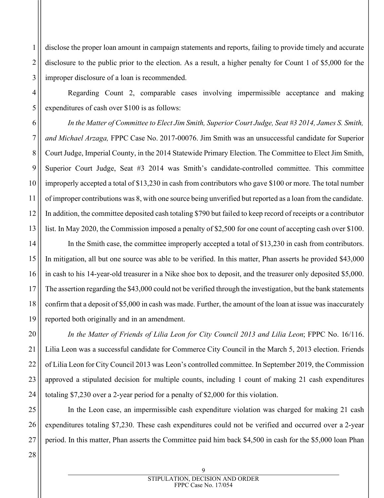disclose the proper loan amount in campaign statements and reports, failing to provide timely and accurate disclosure to the public prior to the election. As a result, a higher penalty for Count 1 of \$5,000 for the improper disclosure of a loan is recommended.

Regarding Count 2, comparable cases involving impermissible acceptance and making expenditures of cash over \$100 is as follows:

*In the Matter of Committee to Elect Jim Smith, Superior Court Judge, Seat #3 2014, James S. Smith, and Michael Arzaga,* FPPC Case No. 2017-00076. Jim Smith was an unsuccessful candidate for Superior Court Judge, Imperial County, in the 2014 Statewide Primary Election. The Committee to Elect Jim Smith, Superior Court Judge, Seat #3 2014 was Smith's candidate-controlled committee. This committee improperly accepted a total of \$13,230 in cash from contributors who gave \$100 or more. The total number of improper contributions was 8, with one source being unverified but reported as a loan from the candidate. In addition, the committee deposited cash totaling \$790 but failed to keep record of receipts or a contributor list. In May 2020, the Commission imposed a penalty of \$2,500 for one count of accepting cash over \$100.

In the Smith case, the committee improperly accepted a total of \$13,230 in cash from contributors. In mitigation, all but one source was able to be verified. In this matter, Phan asserts he provided \$43,000 in cash to his 14-year-old treasurer in a Nike shoe box to deposit, and the treasurer only deposited \$5,000. The assertion regarding the \$43,000 could not be verified through the investigation, but the bank statements confirm that a deposit of \$5,000 in cash was made. Further, the amount of the loan at issue was inaccurately reported both originally and in an amendment.

*In the Matter of Friends of Lilia Leon for City Council 2013 and Lilia Leon*; FPPC No. 16/116. Lilia Leon was a successful candidate for Commerce City Council in the March 5, 2013 election. Friends of Lilia Leon for City Council 2013 was Leon's controlled committee. In September 2019, the Commission approved a stipulated decision for multiple counts, including 1 count of making 21 cash expenditures totaling \$7,230 over a 2-year period for a penalty of \$2,000 for this violation.

25 26 27 In the Leon case, an impermissible cash expenditure violation was charged for making 21 cash expenditures totaling \$7,230. These cash expenditures could not be verified and occurred over a 2-year period. In this matter, Phan asserts the Committee paid him back \$4,500 in cash for the \$5,000 loan Phan

28

1

2

3

4

5

6

7

8

9

10

11

12

13

14

15

16

17

18

19

20

21

22

23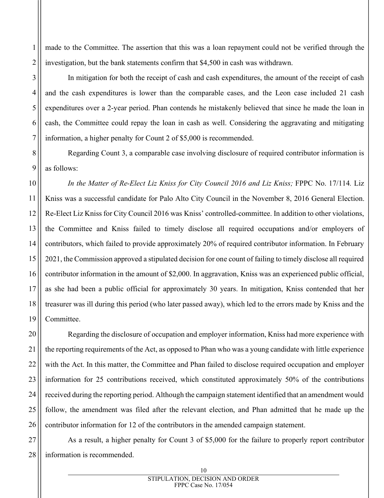made to the Committee. The assertion that this was a loan repayment could not be verified through the investigation, but the bank statements confirm that \$4,500 in cash was withdrawn.

In mitigation for both the receipt of cash and cash expenditures, the amount of the receipt of cash and the cash expenditures is lower than the comparable cases, and the Leon case included 21 cash expenditures over a 2-year period. Phan contends he mistakenly believed that since he made the loan in cash, the Committee could repay the loan in cash as well. Considering the aggravating and mitigating information, a higher penalty for Count 2 of \$5,000 is recommended.

Regarding Count 3, a comparable case involving disclosure of required contributor information is as follows:

*In the Matter of Re-Elect Liz Kniss for City Council 2016 and Liz Kniss;* FPPC No. 17/114*.* Liz Kniss was a successful candidate for Palo Alto City Council in the November 8, 2016 General Election. Re-Elect Liz Kniss for City Council 2016 was Kniss' controlled-committee. In addition to other violations, the Committee and Kniss failed to timely disclose all required occupations and/or employers of contributors, which failed to provide approximately 20% of required contributor information. In February 2021, the Commission approved a stipulated decision for one count of failing to timely disclose all required contributor information in the amount of \$2,000. In aggravation, Kniss was an experienced public official, as she had been a public official for approximately 30 years. In mitigation, Kniss contended that her treasurer was ill during this period (who later passed away), which led to the errors made by Kniss and the Committee.

Regarding the disclosure of occupation and employer information, Kniss had more experience with the reporting requirements of the Act, as opposed to Phan who was a young candidate with little experience with the Act. In this matter, the Committee and Phan failed to disclose required occupation and employer information for 25 contributions received, which constituted approximately 50% of the contributions received during the reporting period. Although the campaign statement identified that an amendment would follow, the amendment was filed after the relevant election, and Phan admitted that he made up the contributor information for 12 of the contributors in the amended campaign statement.

As a result, a higher penalty for Count 3 of \$5,000 for the failure to properly report contributor information is recommended.

1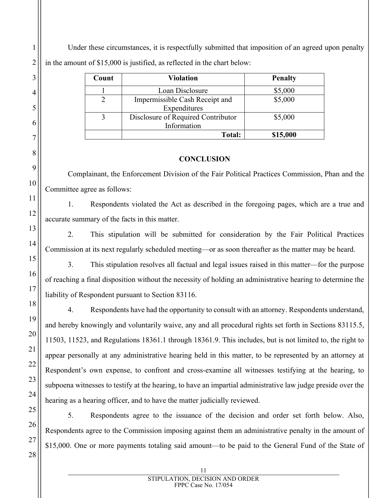Under these circumstances, it is respectfully submitted that imposition of an agreed upon penalty in the amount of \$15,000 is justified, as reflected in the chart below:

| Count | <b>Violation</b>                   | <b>Penalty</b> |
|-------|------------------------------------|----------------|
|       | Loan Disclosure                    | \$5,000        |
|       | Impermissible Cash Receipt and     | \$5,000        |
|       | Expenditures                       |                |
|       | Disclosure of Required Contributor | \$5,000        |
|       | Information                        |                |
|       | <b>Total:</b>                      | \$15,000       |

## **CONCLUSION**

Complainant, the Enforcement Division of the Fair Political Practices Commission, Phan and the Committee agree as follows:

1. Respondents violated the Act as described in the foregoing pages, which are a true and accurate summary of the facts in this matter.

2. This stipulation will be submitted for consideration by the Fair Political Practices Commission at its next regularly scheduled meeting—or as soon thereafter as the matter may be heard.

3. This stipulation resolves all factual and legal issues raised in this matter—for the purpose of reaching a final disposition without the necessity of holding an administrative hearing to determine the liability of Respondent pursuant to Section 83116.

4. Respondents have had the opportunity to consult with an attorney. Respondents understand, and hereby knowingly and voluntarily waive, any and all procedural rights set forth in Sections 83115.5, 11503, 11523, and Regulations 18361.1 through 18361.9. This includes, but is not limited to, the right to appear personally at any administrative hearing held in this matter, to be represented by an attorney at Respondent's own expense, to confront and cross-examine all witnesses testifying at the hearing, to subpoena witnesses to testify at the hearing, to have an impartial administrative law judge preside over the hearing as a hearing officer, and to have the matter judicially reviewed.

5. Respondents agree to the issuance of the decision and order set forth below. Also, Respondents agree to the Commission imposing against them an administrative penalty in the amount of \$15,000. One or more payments totaling said amount—to be paid to the General Fund of the State of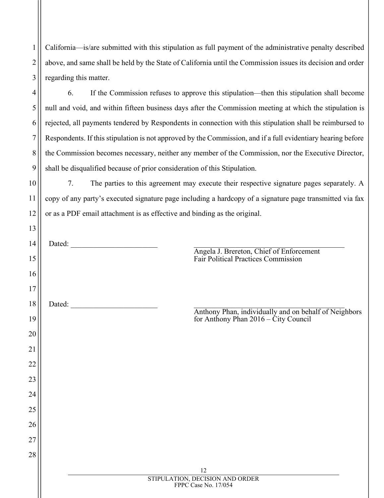1 2 3 California—is/are submitted with this stipulation as full payment of the administrative penalty described above, and same shall be held by the State of California until the Commission issues its decision and order regarding this matter.

4

5

6

7

8

9

10

11

12

13

6. If the Commission refuses to approve this stipulation—then this stipulation shall become null and void, and within fifteen business days after the Commission meeting at which the stipulation is rejected, all payments tendered by Respondents in connection with this stipulation shall be reimbursed to Respondents. If this stipulation is not approved by the Commission, and if a full evidentiary hearing before the Commission becomes necessary, neither any member of the Commission, nor the Executive Director, shall be disqualified because of prior consideration of this Stipulation.

7. The parties to this agreement may execute their respective signature pages separately. A copy of any party's executed signature page including a hardcopy of a signature page transmitted via fax or as a PDF email attachment is as effective and binding as the original.

| 14 | Dated: National Contract of the Contract of the Contract of the Contract of the Contract of the Contract of the Contract of the Contract of the Contract of the Contract of the Contract of the Contract of the Contract of th |
|----|--------------------------------------------------------------------------------------------------------------------------------------------------------------------------------------------------------------------------------|
| 15 | Angela J. Brereton, Chief of Enforcement<br>Fair Political Practices Commission                                                                                                                                                |
| 16 |                                                                                                                                                                                                                                |
| 17 |                                                                                                                                                                                                                                |
| 18 | Dated:                                                                                                                                                                                                                         |
| 19 | Anthony Phan, individually and on behalf of Neighbors<br>for Anthony Phan 2016 – City Council                                                                                                                                  |
| 20 |                                                                                                                                                                                                                                |
| 21 |                                                                                                                                                                                                                                |
| 22 |                                                                                                                                                                                                                                |
| 23 |                                                                                                                                                                                                                                |
| 24 |                                                                                                                                                                                                                                |
| 25 |                                                                                                                                                                                                                                |
| 26 |                                                                                                                                                                                                                                |
| 27 |                                                                                                                                                                                                                                |
| 28 |                                                                                                                                                                                                                                |
|    | 12<br>STIPULATION, DECISION AND ORDER<br>FPPC Case No. 17/054                                                                                                                                                                  |